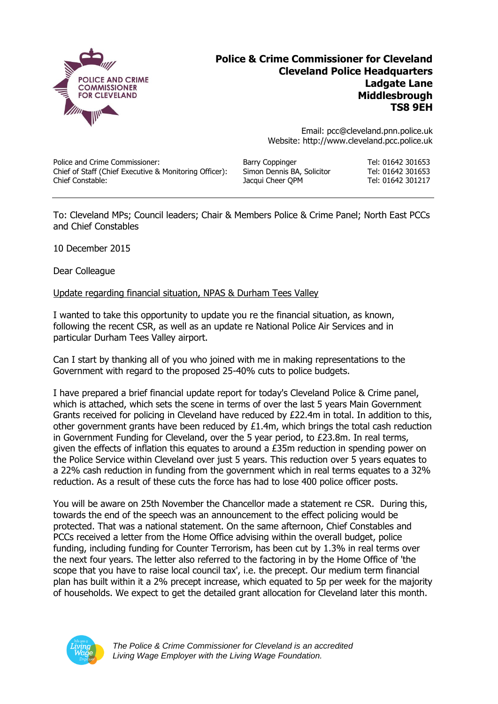

## **Police & Crime Commissioner for Cleveland Cleveland Police Headquarters Ladgate Lane Middlesbrough TS8 9EH**

Email: pcc@cleveland.pnn.police.uk Website: http://www.cleveland.pcc.police.uk

Police and Crime Commissioner: Tel: 01642 301653 Chief of Staff (Chief Executive & Monitoring Officer): Simon Dennis BA, Solicitor Tel: 01642 301653 Chief Constable: Jacqui Cheer QPM Tel: 01642 301217

To: Cleveland MPs; Council leaders; Chair & Members Police & Crime Panel; North East PCCs and Chief Constables

10 December 2015

Dear Colleague

## Update regarding financial situation, NPAS & Durham Tees Valley

I wanted to take this opportunity to update you re the financial situation, as known, following the recent CSR, as well as an update re National Police Air Services and in particular Durham Tees Valley airport.

Can I start by thanking all of you who joined with me in making representations to the Government with regard to the proposed 25-40% cuts to police budgets.

I have prepared a brief financial update report for today's Cleveland Police & Crime panel, which is attached, which sets the scene in terms of over the last 5 years Main Government Grants received for policing in Cleveland have reduced by £22.4m in total. In addition to this, other government grants have been reduced by £1.4m, which brings the total cash reduction in Government Funding for Cleveland, over the 5 year period, to £23.8m. In real terms, given the effects of inflation this equates to around a £35m reduction in spending power on the Police Service within Cleveland over just 5 years. This reduction over 5 years equates to a 22% cash reduction in funding from the government which in real terms equates to a 32% reduction. As a result of these cuts the force has had to lose 400 police officer posts.

You will be aware on 25th November the Chancellor made a statement re CSR. During this, towards the end of the speech was an announcement to the effect policing would be protected. That was a national statement. On the same afternoon, Chief Constables and PCCs received a letter from the Home Office advising within the overall budget, police funding, including funding for Counter Terrorism, has been cut by 1.3% in real terms over the next four years. The letter also referred to the factoring in by the Home Office of 'the scope that you have to raise local council tax', i.e. the precept. Our medium term financial plan has built within it a 2% precept increase, which equated to 5p per week for the majority of households. We expect to get the detailed grant allocation for Cleveland later this month.



*The Police & Crime Commissioner for Cleveland is an accredited Living Wage Employer with the Living Wage Foundation.*